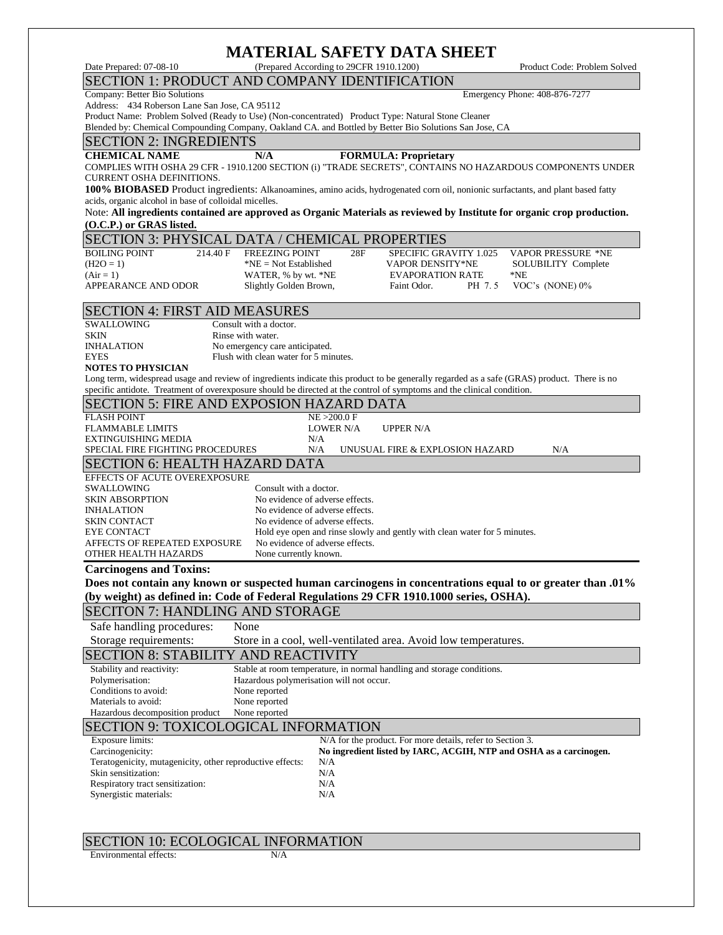## **MATERIAL SAFETY DATA SHEET**

| MATERIAL SAFETY DATA SHEET                                                                                                                                                                          |                                                                                                                                                                                           |                                                                    |                                                                           |        |                                                                    |  |  |  |
|-----------------------------------------------------------------------------------------------------------------------------------------------------------------------------------------------------|-------------------------------------------------------------------------------------------------------------------------------------------------------------------------------------------|--------------------------------------------------------------------|---------------------------------------------------------------------------|--------|--------------------------------------------------------------------|--|--|--|
| Date Prepared: 07-08-10                                                                                                                                                                             |                                                                                                                                                                                           | (Prepared According to 29CFR 1910.1200)                            |                                                                           |        | Product Code: Problem Solved                                       |  |  |  |
| SECTION 1: PRODUCT AND COMPANY IDENTIFICATION                                                                                                                                                       |                                                                                                                                                                                           |                                                                    |                                                                           |        |                                                                    |  |  |  |
| Company: Better Bio Solutions<br>Address: 434 Roberson Lane San Jose, CA 95112                                                                                                                      |                                                                                                                                                                                           |                                                                    |                                                                           |        | Emergency Phone: 408-876-7277                                      |  |  |  |
| Product Name: Problem Solved (Ready to Use) (Non-concentrated) Product Type: Natural Stone Cleaner                                                                                                  |                                                                                                                                                                                           |                                                                    |                                                                           |        |                                                                    |  |  |  |
| Blended by: Chemical Compounding Company, Oakland CA. and Bottled by Better Bio Solutions San Jose, CA                                                                                              |                                                                                                                                                                                           |                                                                    |                                                                           |        |                                                                    |  |  |  |
| <b>SECTION 2: INGREDIENTS</b>                                                                                                                                                                       |                                                                                                                                                                                           |                                                                    |                                                                           |        |                                                                    |  |  |  |
| <b>CHEMICAL NAME</b>                                                                                                                                                                                | N/A                                                                                                                                                                                       |                                                                    | <b>FORMULA: Proprietary</b>                                               |        |                                                                    |  |  |  |
| COMPLIES WITH OSHA 29 CFR - 1910.1200 SECTION (i) "TRADE SECRETS", CONTAINS NO HAZARDOUS COMPONENTS UNDER                                                                                           |                                                                                                                                                                                           |                                                                    |                                                                           |        |                                                                    |  |  |  |
| <b>CURRENT OSHA DEFINITIONS.</b>                                                                                                                                                                    |                                                                                                                                                                                           |                                                                    |                                                                           |        |                                                                    |  |  |  |
|                                                                                                                                                                                                     | 100% BIOBASED Product ingredients: Alkanoamines, amino acids, hydrogenated corn oil, nonionic surfactants, and plant based fatty<br>acids, organic alcohol in base of colloidal micelles. |                                                                    |                                                                           |        |                                                                    |  |  |  |
| Note: All ingredients contained are approved as Organic Materials as reviewed by Institute for organic crop production.                                                                             |                                                                                                                                                                                           |                                                                    |                                                                           |        |                                                                    |  |  |  |
| (O.C.P.) or GRAS listed.                                                                                                                                                                            |                                                                                                                                                                                           |                                                                    |                                                                           |        |                                                                    |  |  |  |
| <b>SECTION 3: PHYSICAL DATA / CHEMICAL PROPERTIES</b>                                                                                                                                               |                                                                                                                                                                                           |                                                                    |                                                                           |        |                                                                    |  |  |  |
| <b>BOILING POINT</b><br>214.40 F                                                                                                                                                                    | <b>FREEZING POINT</b>                                                                                                                                                                     | 28F                                                                | <b>SPECIFIC GRAVITY 1.025</b>                                             |        | <b>VAPOR PRESSURE *NE</b>                                          |  |  |  |
| $(H2O = 1)$                                                                                                                                                                                         | $*NE = Not Established$                                                                                                                                                                   |                                                                    | <b>VAPOR DENSITY*NE</b>                                                   |        | SOLUBILITY Complete                                                |  |  |  |
| $(Air = 1)$<br><b>APPEARANCE AND ODOR</b>                                                                                                                                                           | WATER, % by wt. *NE<br>Slightly Golden Brown,                                                                                                                                             |                                                                    | <b>EVAPORATION RATE</b><br>Faint Odor.                                    | PH 7.5 | *NE<br>VOC's (NONE) 0%                                             |  |  |  |
|                                                                                                                                                                                                     |                                                                                                                                                                                           |                                                                    |                                                                           |        |                                                                    |  |  |  |
| <b>SECTION 4: FIRST AID MEASURES</b>                                                                                                                                                                |                                                                                                                                                                                           |                                                                    |                                                                           |        |                                                                    |  |  |  |
| <b>SWALLOWING</b>                                                                                                                                                                                   | Consult with a doctor.                                                                                                                                                                    |                                                                    |                                                                           |        |                                                                    |  |  |  |
| <b>SKIN</b>                                                                                                                                                                                         | Rinse with water.                                                                                                                                                                         |                                                                    |                                                                           |        |                                                                    |  |  |  |
| <b>INHALATION</b><br><b>EYES</b>                                                                                                                                                                    | No emergency care anticipated.<br>Flush with clean water for 5 minutes.                                                                                                                   |                                                                    |                                                                           |        |                                                                    |  |  |  |
| <b>NOTES TO PHYSICIAN</b>                                                                                                                                                                           |                                                                                                                                                                                           |                                                                    |                                                                           |        |                                                                    |  |  |  |
| Long term, widespread usage and review of ingredients indicate this product to be generally regarded as a safe (GRAS) product. There is no                                                          |                                                                                                                                                                                           |                                                                    |                                                                           |        |                                                                    |  |  |  |
| specific antidote. Treatment of overexposure should be directed at the control of symptoms and the clinical condition.                                                                              |                                                                                                                                                                                           |                                                                    |                                                                           |        |                                                                    |  |  |  |
| <b>SECTION 5: FIRE AND EXPOSION HAZARD DATA</b>                                                                                                                                                     |                                                                                                                                                                                           |                                                                    |                                                                           |        |                                                                    |  |  |  |
| <b>FLASH POINT</b>                                                                                                                                                                                  |                                                                                                                                                                                           | NE > 200.0 F                                                       |                                                                           |        |                                                                    |  |  |  |
| <b>FLAMMABLE LIMITS</b><br>EXTINGUISHING MEDIA                                                                                                                                                      |                                                                                                                                                                                           | <b>LOWER N/A</b><br>N/A                                            | <b>UPPER N/A</b>                                                          |        |                                                                    |  |  |  |
| SPECIAL FIRE FIGHTING PROCEDURES                                                                                                                                                                    |                                                                                                                                                                                           | N/A                                                                | UNUSUAL FIRE & EXPLOSION HAZARD                                           |        | N/A                                                                |  |  |  |
| <b>SECTION 6: HEALTH HAZARD DATA</b>                                                                                                                                                                |                                                                                                                                                                                           |                                                                    |                                                                           |        |                                                                    |  |  |  |
| EFFECTS OF ACUTE OVEREXPOSURE                                                                                                                                                                       |                                                                                                                                                                                           |                                                                    |                                                                           |        |                                                                    |  |  |  |
| SWALLOWING                                                                                                                                                                                          | Consult with a doctor.                                                                                                                                                                    |                                                                    |                                                                           |        |                                                                    |  |  |  |
| <b>SKIN ABSORPTION</b><br><b>INHALATION</b>                                                                                                                                                         |                                                                                                                                                                                           | No evidence of adverse effects.<br>No evidence of adverse effects. |                                                                           |        |                                                                    |  |  |  |
| <b>SKIN CONTACT</b>                                                                                                                                                                                 |                                                                                                                                                                                           | No evidence of adverse effects.                                    |                                                                           |        |                                                                    |  |  |  |
| <b>EYE CONTACT</b>                                                                                                                                                                                  |                                                                                                                                                                                           |                                                                    | Hold eye open and rinse slowly and gently with clean water for 5 minutes. |        |                                                                    |  |  |  |
| AFFECTS OF REPEATED EXPOSURE                                                                                                                                                                        |                                                                                                                                                                                           | No evidence of adverse effects.                                    |                                                                           |        |                                                                    |  |  |  |
| OTHER HEALTH HAZARDS                                                                                                                                                                                | None currently known.                                                                                                                                                                     |                                                                    |                                                                           |        |                                                                    |  |  |  |
| <b>Carcinogens and Toxins:</b>                                                                                                                                                                      |                                                                                                                                                                                           |                                                                    |                                                                           |        |                                                                    |  |  |  |
| Does not contain any known or suspected human carcinogens in concentrations equal to or greater than .01%<br>(by weight) as defined in: Code of Federal Regulations 29 CFR 1910.1000 series, OSHA). |                                                                                                                                                                                           |                                                                    |                                                                           |        |                                                                    |  |  |  |
| <b>SECITON 7: HANDLING AND STORAGE</b>                                                                                                                                                              |                                                                                                                                                                                           |                                                                    |                                                                           |        |                                                                    |  |  |  |
|                                                                                                                                                                                                     |                                                                                                                                                                                           |                                                                    |                                                                           |        |                                                                    |  |  |  |
| Safe handling procedures:                                                                                                                                                                           | None                                                                                                                                                                                      |                                                                    |                                                                           |        |                                                                    |  |  |  |
| Storage requirements:                                                                                                                                                                               |                                                                                                                                                                                           |                                                                    | Store in a cool, well-ventilated area. Avoid low temperatures.            |        |                                                                    |  |  |  |
| <b>SECTION 8: STABILITY AND REACTIVITY</b>                                                                                                                                                          |                                                                                                                                                                                           |                                                                    |                                                                           |        |                                                                    |  |  |  |
| Stability and reactivity:<br>Polymerisation:                                                                                                                                                        | Hazardous polymerisation will not occur.                                                                                                                                                  |                                                                    | Stable at room temperature, in normal handling and storage conditions.    |        |                                                                    |  |  |  |
| Conditions to avoid:                                                                                                                                                                                | None reported                                                                                                                                                                             |                                                                    |                                                                           |        |                                                                    |  |  |  |
| Materials to avoid:                                                                                                                                                                                 | None reported                                                                                                                                                                             |                                                                    |                                                                           |        |                                                                    |  |  |  |
| Hazardous decomposition product                                                                                                                                                                     | None reported                                                                                                                                                                             |                                                                    |                                                                           |        |                                                                    |  |  |  |
| <b>SECTION 9: TOXICOLOGICAL INFORMATION</b><br>N/A for the product. For more details, refer to Section 3.                                                                                           |                                                                                                                                                                                           |                                                                    |                                                                           |        |                                                                    |  |  |  |
| <b>Exposure limits:</b>                                                                                                                                                                             |                                                                                                                                                                                           |                                                                    |                                                                           |        |                                                                    |  |  |  |
| Carcinogenicity:<br>Teratogenicity, mutagenicity, other reproductive effects:                                                                                                                       |                                                                                                                                                                                           | N/A                                                                |                                                                           |        | No ingredient listed by IARC, ACGIH, NTP and OSHA as a carcinogen. |  |  |  |
| Skin sensitization:                                                                                                                                                                                 |                                                                                                                                                                                           | N/A                                                                |                                                                           |        |                                                                    |  |  |  |
| Respiratory tract sensitization:                                                                                                                                                                    |                                                                                                                                                                                           | N/A                                                                |                                                                           |        |                                                                    |  |  |  |
| Synergistic materials:                                                                                                                                                                              |                                                                                                                                                                                           | N/A                                                                |                                                                           |        |                                                                    |  |  |  |

# SECTION 10: ECOLOGICAL INFORMATION<br>Environmental effects:  $N/A$

Environmental effects: